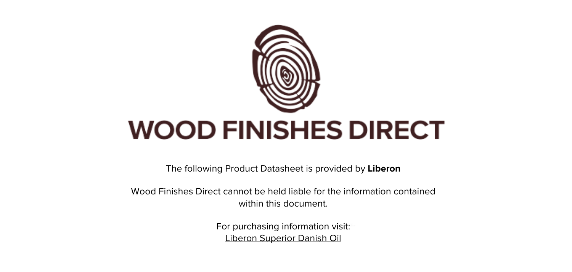

The following Product Datasheet is provided by **Liberon**

Wood Finishes Direct cannot be held liable for the information contained within this document

> For purchasing information visit: [Liberon Superior Danish Oil](https://www.wood-finishes-direct.com/product/liberon-superior-danish-oil)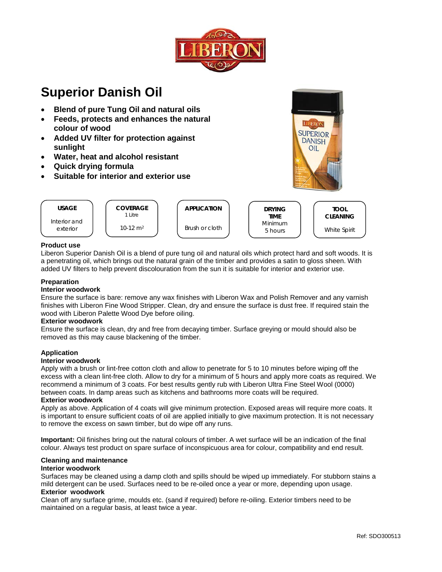

**SUPERIOR** 

**DANISH** 

OIL

# **Superior Danish Oil**

- **Blend of pure Tung Oil and natural oils**
- Feeds, protects and enhances the natural  $\bullet$ colour of wood
- Added UV filter for protection against  $\bullet$ sunlight
- Water, heat and alcohol resistant
- **Quick drying formula**  $\bullet$
- Suitable for interior and exterior use



## **Product use**

Liberon Superior Danish Oil is a blend of pure tung oil and natural oils which protect hard and soft woods. It is a penetrating oil, which brings out the natural grain of the timber and provides a satin to gloss sheen. With added UV filters to help prevent discolouration from the sun it is suitable for interior and exterior use.

## Preparation

#### **Interior woodwork**

Ensure the surface is bare: remove any wax finishes with Liberon Wax and Polish Remover and any varnish finishes with Liberon Fine Wood Stripper. Clean, dry and ensure the surface is dust free. If required stain the wood with Liberon Palette Wood Dye before oiling.

#### **Exterior woodwork**

Ensure the surface is clean, dry and free from decaying timber. Surface greying or mould should also be removed as this may cause blackening of the timber.

#### **Application**

#### **Interior woodwork**

Apply with a brush or lint-free cotton cloth and allow to penetrate for 5 to 10 minutes before wiping off the excess with a clean lint-free cloth. Allow to dry for a minimum of 5 hours and apply more coats as required. We recommend a minimum of 3 coats. For best results gently rub with Liberon Ultra Fine Steel Wool (0000) between coats. In damp areas such as kitchens and bathrooms more coats will be required.

#### **Exterior woodwork**

Apply as above. Application of 4 coats will give minimum protection. Exposed areas will require more coats. It is important to ensure sufficient coats of oil are applied initially to give maximum protection. It is not necessary to remove the excess on sawn timber, but do wipe off any runs.

Important: Oil finishes bring out the natural colours of timber. A wet surface will be an indication of the final colour. Always test product on spare surface of inconspicuous area for colour, compatibility and end result.

# **Cleaning and maintenance**

# **Interior woodwork**

Surfaces may be cleaned using a damp cloth and spills should be wiped up immediately. For stubborn stains a mild detergent can be used. Surfaces need to be re-oiled once a year or more, depending upon usage. **Exterior woodwork** 

Clean off any surface grime, moulds etc. (sand if required) before re-oiling. Exterior timbers need to be maintained on a regular basis, at least twice a year.